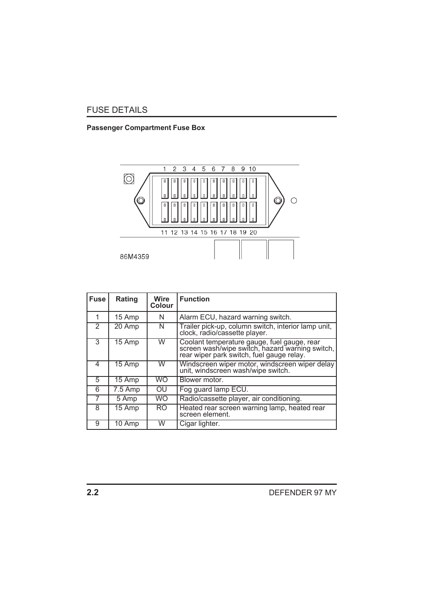## FUSE DETAILS

## **Passenger Compartment Fuse Box**



| <b>Fuse</b> | Rating  | <b>Wire</b><br><b>Colour</b> | <b>Function</b>                                                                                                                             |
|-------------|---------|------------------------------|---------------------------------------------------------------------------------------------------------------------------------------------|
|             | 15 Amp  | N                            | Alarm ECU, hazard warning switch.                                                                                                           |
| 2           | 20 Amp  | N                            | Trailer pick-up, column switch, interior lamp unit,<br>clock, radio/cassette player.                                                        |
| 3           | 15 Amp  | W                            | Coolant temperature gauge, fuel gauge, rear<br>screen wash/wipe switch, hazard warning switch,<br>rear wiper park switch, fuel gauge relay. |
| 4           | 15 Amp  | W                            | Windscreen wiper motor, windscreen wiper delay<br>unit, windscreen wash/wipe switch.                                                        |
| 5           | 15 Amp  | <b>WO</b>                    | Blower motor.                                                                                                                               |
| 6           | 7.5 Amp | OU                           | Fog guard lamp ECU.                                                                                                                         |
|             | 5 Amp   | <b>WO</b>                    | Radio/cassette player, air conditioning.                                                                                                    |
| 8           | 15 Amp  | <b>RO</b>                    | Heated rear screen warning lamp, heated rear<br>screen element.                                                                             |
| 9           | 10 Amp  | W                            | Cigar lighter.                                                                                                                              |